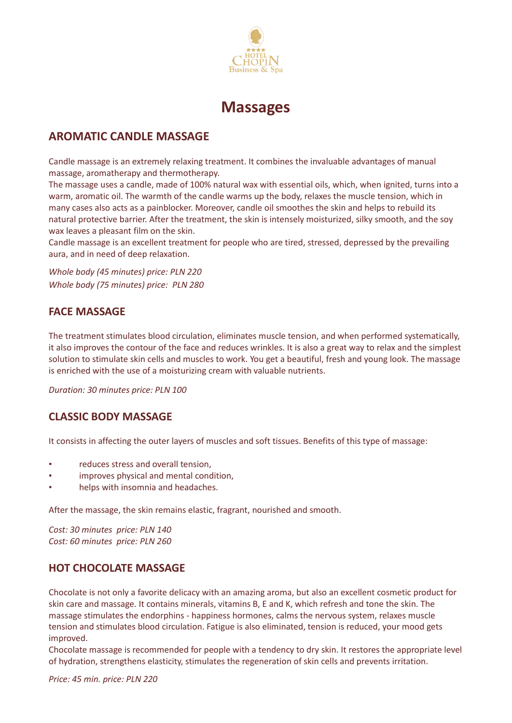



# **AROMATIC CANDLE MASSAGE**

Candle massage is an extremely relaxing treatment. It combines the invaluable advantages of manual massage, aromatherapy and thermotherapy.

The massage uses a candle, made of 100% natural wax with essential oils, which, when ignited, turns into a warm, aromatic oil. The warmth of the candle warms up the body, relaxes the muscle tension, which in many cases also acts as a painblocker. Moreover, candle oil smoothes the skin and helps to rebuild its natural protective barrier. After the treatment, the skin is intensely moisturized, silky smooth, and the soy wax leaves a pleasant film on the skin.

Candle massage is an excellent treatment for people who are tired, stressed, depressed by the prevailing aura, and in need of deep relaxation.

*Whole body (45 minutes) price: PLN 220 Whole body (75 minutes) price: PLN 280*

## **FACE MASSAGE**

The treatment stimulates blood circulation, eliminates muscle tension, and when performed systematically, it also improves the contour of the face and reduces wrinkles. It is also a great way to relax and the simplest solution to stimulate skin cells and muscles to work. You get a beautiful, fresh and young look. The massage is enriched with the use of a moisturizing cream with valuable nutrients.

*Duration: 30 minutes price: PLN 100*

## **CLASSIC BODY MASSAGE**

It consists in affecting the outer layers of muscles and soft tissues. Benefits of this type of massage:

- reduces stress and overall tension,
- improves physical and mental condition,
- helps with insomnia and headaches.

After the massage, the skin remains elastic, fragrant, nourished and smooth.

*Cost: 30 minutes price: PLN 140 Cost: 60 minutes price: PLN 260*

#### **HOT CHOCOLATE MASSAGE**

Chocolate is not only a favorite delicacy with an amazing aroma, but also an excellent cosmetic product for skin care and massage. It contains minerals, vitamins B, E and K, which refresh and tone the skin. The massage stimulates the endorphins - happiness hormones, calms the nervous system, relaxes muscle tension and stimulates blood circulation. Fatigue is also eliminated, tension is reduced, your mood gets improved.

Chocolate massage is recommended for people with a tendency to dry skin. It restores the appropriate level of hydration, strengthens elasticity, stimulates the regeneration of skin cells and prevents irritation.

*Price: 45 min. price: PLN 220*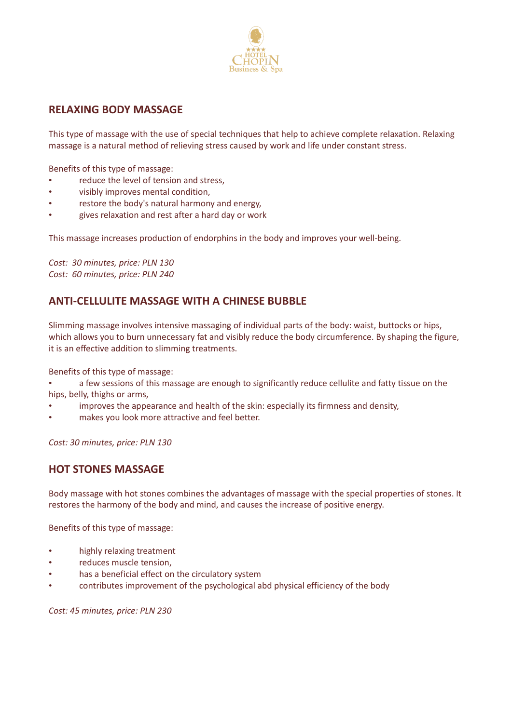

### **RELAXING BODY MASSAGE**

This type of massage with the use of special techniques that help to achieve complete relaxation. Relaxing massage is a natural method of relieving stress caused by work and life under constant stress.

Benefits of this type of massage:

- reduce the level of tension and stress,
- visibly improves mental condition,
- restore the body's natural harmony and energy,
- gives relaxation and rest after a hard day or work

This massage increases production of endorphins in the body and improves your well-being.

*Cost: 30 minutes, price: PLN 130 Cost: 60 minutes, price: PLN 240*

# **ANTI-CELLULITE MASSAGE WITH A CHINESE BUBBLE**

Slimming massage involves intensive massaging of individual parts of the body: waist, buttocks or hips, which allows you to burn unnecessary fat and visibly reduce the body circumference. By shaping the figure, it is an effective addition to slimming treatments.

Benefits of this type of massage:

- a few sessions of this massage are enough to significantly reduce cellulite and fatty tissue on the hips, belly, thighs or arms,
- improves the appearance and health of the skin: especially its firmness and density,
- makes you look more attractive and feel better.

*Cost: 30 minutes, price: PLN 130*

#### **HOT STONES MASSAGE**

Body massage with hot stones combines the advantages of massage with the special properties of stones. It restores the harmony of the body and mind, and causes the increase of positive energy.

Benefits of this type of massage:

- highly relaxing treatment
- reduces muscle tension,
- has a beneficial effect on the circulatory system
- contributes improvement of the psychological abd physical efficiency of the body

*Cost: 45 minutes, price: PLN 230*